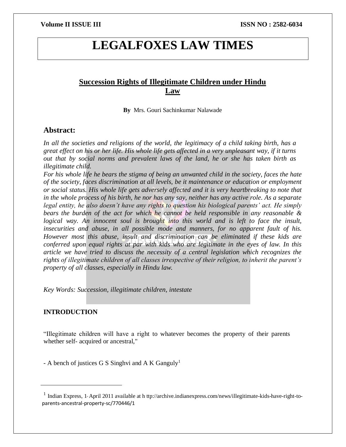# **LEGALFOXES LAW TIMES**

## **Succession Rights of Illegitimate Children under Hindu Law**

**By** Mrs. Gouri Sachinkumar Nalawade

### **Abstract:**

*In all the societies and religions of the world, the legitimacy of a child taking birth, has a great effect on his or her life. His whole life gets affected in a very unpleasant way, if it turns out that by social norms and prevalent laws of the land, he or she has taken birth as illegitimate child.*

*For his whole life he bears the stigma of being an unwanted child in the society, faces the hate of the society, faces discrimination at all levels, be it maintenance or education or employment or social status. His whole life gets adversely affected and it is very heartbreaking to note that in the whole process of his birth, he nor has any say, neither has any active role. As a separate legal entity, he also doesn't have any rights to question his biological parents' act. He simply bears the burden of the act for which he cannot be held responsible in any reasonable & logical way. An innocent soul is brought into this world and is left to face the insult, insecurities and abuse, in all possible mode and manners, for no apparent fault of his. However most this abuse, insult and discrimination can be eliminated if these kids are conferred upon equal rights at par with kids who are legitimate in the eyes of law. In this article we have tried to discuss the necessity of a central legislation which recognizes the rights of illegitimate children of all classes irrespective of their religion, to inherit the parent's property of all classes, especially in Hindu law.*

*Key Words: Succession, illegitimate children, intestate*

#### **INTRODUCTION**

 $\overline{\phantom{a}}$ 

"Illegitimate children will have a right to whatever becomes the property of their parents whether self- acquired or ancestral,"

- A bench of justices G S Singhvi and A K Ganguly<sup>1</sup>

 $<sup>1</sup>$  Indian Express, 1 April 2011 available at h ttp://archive.indianexpress.com/news/illegitimate-kids-have-right-to-</sup> parents-ancestral-property-sc/770446/1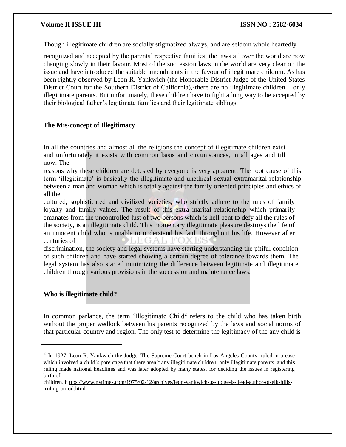Though illegitimate children are socially stigmatized always, and are seldom whole heartedly

recognized and accepted by the parents' respective families, the laws all over the world are now changing slowly in their favour. Most of the succession laws in the world are very clear on the issue and have introduced the suitable amendments in the favour of illegitimate children. As has been rightly observed by Leon R. Yankwich (the Honorable District Judge of the United States District Court for the Southern District of California), there are no illegitimate children – only illegitimate parents. But unfortunately, these children have to fight a long way to be accepted by their biological father's legitimate families and their legitimate siblings.

### **The Mis-concept of Illegitimacy**

In all the countries and almost all the religions the concept of illegitimate children exist and unfortunately it exists with common basis and circumstances, in all ages and till now. The

reasons why these children are detested by everyone is very apparent. The root cause of this term 'illegitimate' is basically the illegitimate and unethical sexual extramarital relationship between a man and woman which is totally against the family oriented principles and ethics of all the

cultured, sophisticated and civilized societies, who strictly adhere to the rules of family loyalty and family values. The result of this extra marital relationship which primarily emanates from the uncontrolled lust of two persons which is hell bent to defy all the rules of the society, is an illegitimate child. This momentary illegitimate pleasure destroys the life of an innocent child who is unable to understand his fault throughout his life. However after centuries of DI FIGATI FOX FIS

discrimination, the society and legal systems have starting understanding the pitiful condition of such children and have started showing a certain degree of tolerance towards them. The legal system has also started minimizing the difference between legitimate and illegitimate children through various provisions in the succession and maintenance laws.

### **Who is illegitimate child?**

 $\overline{\phantom{a}}$ 

In common parlance, the term 'Illegitimate Child<sup>2</sup> refers to the child who has taken birth without the proper wedlock between his parents recognized by the laws and social norms of that particular country and region. The only test to determine the legitimacy of the any child is

 $2 \text{ In } 1927$ , Leon R. Yankwich the Judge, The Supreme Court bench in Los Angeles County, ruled in a case which involved a child's parentage that there aren't any illegitimate children, only illegitimate parents, and this ruling made national headlines and was later adopted by many states, for deciding the issues in registering birth of

children. h [ttps://www.nytimes.com/1975/02/12/archives/leon-yankwich-us-judge-is-dead-author-of-elk-hills](http://www.nytimes.com/1975/02/12/archives/leon-yankwich-us-judge-is-dead-author-of-elk-hills-)ruling-on-oil.html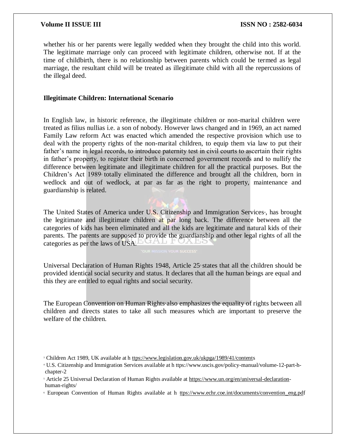whether his or her parents were legally wedded when they brought the child into this world. The legitimate marriage only can proceed with legitimate children, otherwise not. If at the time of childbirth, there is no relationship between parents which could be termed as legal marriage, the resultant child will be treated as illegitimate child with all the repercussions of the illegal deed.

### **Illegitimate Children: International Scenario**

In English law, in historic reference, the illegitimate children or non-marital children were treated as filius nullias i.e. a son of nobody. However laws changed and in 1969, an act named Family Law reform Act was enacted which amended the respective provision which use to deal with the property rights of the non-marital children, to equip them via law to put their father's name in legal records, to introduce paternity test in civil courts to ascertain their rights in father's property, to register their birth in concerned government records and to nullify the difference between legitimate and illegitimate children for all the practical purposes. But the Children's Act  $1989$ <sup>3</sup> totally eliminated the difference and brought all the children, born in wedlock and out of wedlock, at par as far as the right to property, maintenance and guardianship is related.

The United States of America under U.S. Citizenship and Immigration Services<sup>4</sup>, has brought the legitimate and illegitimate children at par long back. The difference between all the categories of kids has been eliminated and all the kids are legitimate and natural kids of their parents. The parents are supposed to provide the guardianship and other legal rights of all the categories as per the laws of USA. LUTALL FUXES

Universal Declaration of Human Rights 1948, Article 25 states that all the children should be provided identical social security and status. It declares that all the human beings are equal and this they are entitled to equal rights and social security.

The European Convention on Human Rights also emphasizes the equality of rights between all children and directs states to take all such measures which are important to preserve the welfare of the children.

<sup>3</sup> Children Act 1989, UK available at [h ttps://www.legislation.gov.uk/ukpga/1989/41/contents](http://www.legislation.gov.uk/ukpga/1989/41/contents)

<sup>4</sup> U.S. Citizenship and Immigration Services available at h ttps://www.uscis.gov/policy-manual/volume-12-part-hchapter-2

<sup>&</sup>lt;sup>5</sup> Article 25 Universal Declaration of Human Rights available at [https://www.un.org/en/universal-declaration](http://www.un.org/en/universal-declaration-)human-rights/

<sup>6</sup> European Convention of Human Rights available at h [ttps://www.echr.coe.int/documents/convention\\_eng.pdf](http://www.echr.coe.int/documents/convention_eng.pdf)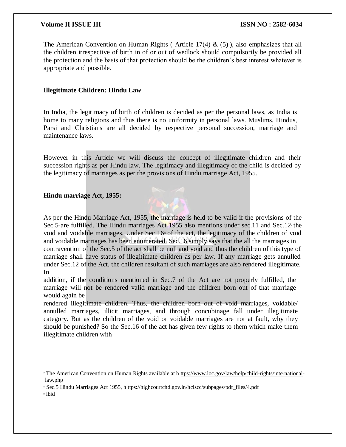The American Convention on Human Rights (Article 17(4) &  $(5)$ <sup>n</sup>), also emphasizes that all the children irrespective of birth in of or out of wedlock should compulsorily be provided all the protection and the basis of that protection should be the children's best interest whatever is appropriate and possible.

### **Illegitimate Children: Hindu Law**

In India, the legitimacy of birth of children is decided as per the personal laws, as India is home to many religions and thus there is no uniformity in personal laws. Muslims, Hindus, Parsi and Christians are all decided by respective personal succession, marriage and maintenance laws.

However in this Article we will discuss the concept of illegitimate children and their succession rights as per Hindu law. The legitimacy and illegitimacy of the child is decided by the legitimacy of marriages as per the provisions of Hindu marriage Act, 1955.

### **Hindu marriage Act, 1955:**

As per the Hindu Marriage Act, 1955, the marriage is held to be valid if the provisions of the Sec.5<sup>s</sup> are fulfilled. The Hindu marriages Act 1955 also mentions under sec.11 and Sec.12<sup>*s*</sup> the void and voidable marriages. Under Sec  $16<sup>10</sup>$  of the act, the legitimacy of the children of void and voidable marriages has been enumerated. Sec.16 simply says that the all the marriages in contravention of the Sec.5 of the act shall be null and void and thus the children of this type of marriage shall have status of illegitimate children as per law. If any marriage gets annulled under Sec.12 of the Act, the children resultant of such marriages are also rendered illegitimate. In

addition, if the conditions mentioned in Sec.7 of the Act are not properly fulfilled, the marriage will not be rendered valid marriage and the children born out of that marriage would again be

rendered illegitimate children. Thus, the children born out of void marriages, voidable/ annulled marriages, illicit marriages, and through concubinage fall under illegitimate category. But as the children of the void or voidable marriages are not at fault, why they should be punished? So the Sec.16 of the act has given few rights to them which make them illegitimate children with

<sup>7</sup> The American Convention on Human Rights available at h [ttps://www.loc.gov/law/help/child-rights/international](http://www.loc.gov/law/help/child-rights/international-)law.php

<sup>8</sup> Sec.5 Hindu Marriages Act 1955, h ttps://highcourtchd.gov.in/hclscc/subpages/pdf\_files/4.pdf

<sup>9</sup> ibid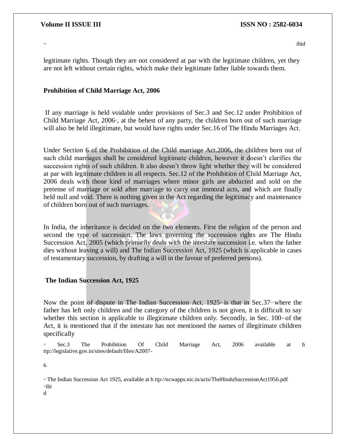$10<sup>10</sup>$ 

legitimate rights. Though they are not considered at par with the legitimate children, yet they are not left without certain rights, which make their legitimate father liable towards them.

#### **Prohibition of Child Marriage Act, 2006**

If any marriage is held voidable under provisions of Sec.3 and Sec.12 under Prohibition of Child Marriage Act,  $2006$ <sup>n</sup>, at the behest of any party, the children born out of such marriage will also be held illegitimate, but would have rights under Sec.16 of The Hindu Marriages Act.

Under Section 6 of the Prohibition of the Child marriage Act.2006, the children born out of such child marriages shall be considered legitimate children, however it doesn't clarifies the succession rights of such children. It also doesn't throw light whether they will be considered at par with legitimate children in all respects. Sec.12 of the Prohibition of Child Marriage Act, 2006 deals with those kind of marriages where minor girls are abducted and sold on the pretense of marriage or sold after marriage to carry out immoral acts, and which are finally held null and void. There is nothing given in the Act regarding the legitimacy and maintenance of children born out of such marriages.

In India, the inheritance is decided on the two elements. First the religion of the person and second the type of succession. The laws governing the succession rights are The Hindu Succession Act, 2005 (which primarily deals with the intestate succession i.e. when the father dies without leaving a will) and The Indian Succession Act, 1925 (which is applicable in cases of testamentary succession, by drafting a will in the favour of preferred persons).

### **The Indian Succession Act, 1925**

Now the point of dispute in The Indian Succession Act,  $1925^{\circ}$  is that in Sec.37<sup>13</sup> where the father has left only children and the category of the children is not given, it is difficult to say whether this section is applicable to illegitimate children only. Secondly, in Sec.  $100<sup>4</sup>$  of the Act, it is mentioned that if the intestate has not mentioned the names of illegitimate children specifically

<sup>11</sup> Sec.3 The Prohibition Of Child Marriage Act, 2006 available at h ttp://legislative.gov.in/sites/default/files/A2007-

6.

<sup>12</sup> The Indian Succession Act 1925, available at h ttp://ncwapps.nic.in/acts/TheHinduSuccessionAct1956.pdf  $13$ ibi

d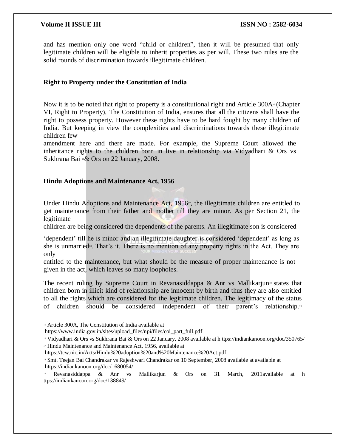and has mention only one word "child or children", then it will be presumed that only legitimate children will be eligible to inherit properties as per will. These two rules are the solid rounds of discrimination towards illegitimate children.

### **Right to Property under the Constitution of India**

Now it is to be noted that right to property is a constitutional right and Article 300A<sup>15</sup> (Chapter VI, Right to Property), The Constitution of India, ensures that all the citizens shall have the right to possess property. However these rights have to be hard fought by many children of India. But keeping in view the complexities and discriminations towards these illegitimate children few

amendment here and there are made. For example, the Supreme Court allowed the inheritance rights to the children born in live in relationship via Vidyadhari  $\&$  Ors vs Sukhrana Bai <sup>16</sup> & Ors on 22 January, 2008.

### **Hindu Adoptions and Maintenance Act, 1956**

Under Hindu Adoptions and Maintenance Act,  $1956$ <sup>n</sup>, the illegitimate children are entitled to get maintenance from their father and mother till they are minor. As per Section 21, the legitimate

children are being considered the dependents of the parents. An illegitimate son is considered

'dependent' till he is minor and an illegitimate daughter is considered 'dependent' as long as she is unmarried<sup>18</sup>. That's it. There is no mention of any property rights in the Act. They are only

entitled to the maintenance, but what should be the measure of proper maintenance is not given in the act, which leaves so many loopholes.

The recent ruling by Supreme Court in Revanasiddappa  $\&$  Anr vs Mallikarjun<sup>®</sup> states that children born in illicit kind of relationship are innocent by birth and thus they are also entitled to all the rights which are considered for the legitimate children. The legitimacy of the status of children should be considered independent of their parent's relationship. <sup>20</sup>

<sup>15</sup> Article 300A, The Constitution of India available at

[https://www.india.gov.in/sites/upload\\_files/npi/files/coi\\_part\\_full.pdf](http://www.india.gov.in/sites/upload_files/npi/files/coi_part_full.pdf)

<sup>16</sup> Vidyadhari & Ors vs Sukhrana Bai & Ors on 22 January, 2008 available at h ttps://indiankanoon.org/doc/350765/

<sup>17</sup> Hindu Maintenance and Maintenance Act, 1956, available at

https://tcw.nic.in/Acts/Hindu%20adoption%20and%20Maintenance%20Act.pdf

<sup>18</sup> Smt. Teejan Bai Chandrakar vs Rajeshwari Chandrakar on 10 September, 2008 available at available at https://indiankanoon.org/doc/1680054/

<sup>19</sup> Revanasiddappa & Anr vs Mallikarjun & Ors on 31 March, 2011available at h ttps://indiankanoon.org/doc/138849/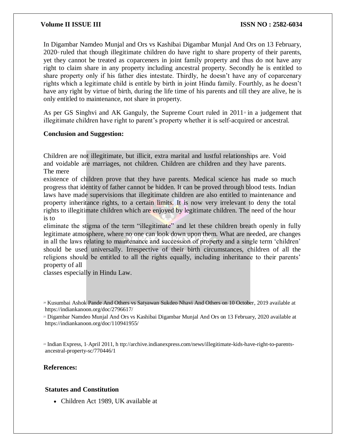In Digambar Namdeo Munjal and Ors vs Kashibai Digambar Munjal And Ors on 13 February,  $2020<sup>2</sup>$  ruled that though illegitimate children do have right to share property of their parents, yet they cannot be treated as coparceners in joint family property and thus do not have any right to claim share in any property including ancestral property. Secondly he is entitled to share property only if his father dies intestate. Thirdly, he doesn't have any of coparcenary rights which a legitimate child is entitle by birth in joint Hindu family. Fourthly, as he doesn't have any right by virtue of birth, during the life time of his parents and till they are alive, he is only entitled to maintenance, not share in property.

As per GS Singhvi and AK Ganguly, the Supreme Court ruled in  $2011\degree$  in a judgement that illegitimate children have right to parent's property whether it is self-acquired or ancestral.

#### **Conclusion and Suggestion:**

Children are not illegitimate, but illicit, extra marital and lustful relationships are. Void and voidable are marriages, not children. Children are children and they have parents. The mere

existence of children prove that they have parents. Medical science has made so much progress that identity of father cannot be hidden. It can be proved through blood tests. Indian laws have made supervisions that illegitimate children are also entitled to maintenance and property inheritance rights, to a certain limits. It is now very irrelevant to deny the total rights to illegitimate children which are enjoyed by legitimate children. The need of the hour is to

eliminate the stigma of the term "illegitimate" and let these children breath openly in fully legitimate atmosphere, where no one can look down upon them. What are needed, are changes in all the laws relating to maintenance and succession of property and a single term 'children' should be used universally. Irrespective of their birth circumstances, children of all the religions should be entitled to all the rights equally, including inheritance to their parents' property of all

classes especially in Hindu Law.

<sup>21</sup> Digambar Namdeo Munjal And Ors vs Kashibai Digambar Munjal And Ors on 13 February, 2020 available at https://indiankanoon.org/doc/110941955/

<sup>22</sup> Indian Express, 1-April 2011, h ttp://archive.indianexpress.com/news/illegitimate-kids-have-right-to-parentsancestral-property-sc/770446/1

#### **References:**

#### **Statutes and Constitution**

Children Act 1989, UK available at

<sup>20</sup> Kusumbai Ashok Pande And Others vs Satyawan Sukdeo Nhavi And Others on 10 October, 2019 available at https://indiankanoon.org/doc/2796617/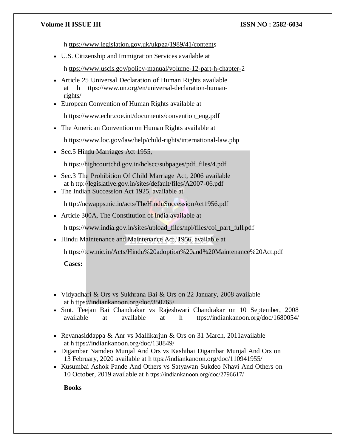h [ttps://www.legislation.gov.uk/ukpga/1989/41/contents](http://www.legislation.gov.uk/ukpga/1989/41/contents)

U.S. Citizenship and Immigration Services available at

h [ttps://www.uscis.gov/policy-manual/volume-12-part-h-chapter-2](http://www.uscis.gov/policy-manual/volume-12-part-h-chapter-2)

- Article 25 Universal Declaration of Human Rights available at h [ttps://www.un.org/en/universal-declaration-human](http://www.un.org/en/universal-declaration-human-rights/)[rights/](http://www.un.org/en/universal-declaration-human-rights/)
- European Convention of Human Rights available at

h [ttps://www.echr.coe.int/documents/convention\\_eng.pdf](http://www.echr.coe.int/documents/convention_eng.pdf)

The American Convention on Human Rights available at

h [ttps://www.loc.gov/law/help/child-rights/international-law.php](http://www.loc.gov/law/help/child-rights/international-law.php)

• Sec.5 Hindu Marriages Act 1955,

h ttps://highcourtchd.gov.in/hclscc/subpages/pdf\_files/4.pdf

- Sec.3 The Prohibition Of Child Marriage Act, 2006 available at h ttp://legislative.gov.in/sites/default/files/A2007-06.pdf
- The Indian Succession Act 1925, available at

h ttp://ncwapps.nic.in/acts/TheHinduSuccessionAct1956.pdf

Article 300A, The Constitution of India available at

h [ttps://www.india.gov.in/sites/upload\\_files/npi/files/coi\\_part\\_full.pdf](http://www.india.gov.in/sites/upload_files/npi/files/coi_part_full.pdf)

• Hindu Maintenance and Maintenance Act, 1956, available at

h ttps://tcw.nic.in/Acts/Hindu%20adoption%20and%20Maintenance%20Act.pdf

**Cases:**

- Vidyadhari & Ors vs Sukhrana Bai & Ors on 22 January, 2008 available at h ttps://indiankanoon.org/doc/350765/
- Smt. Teejan Bai Chandrakar vs Rajeshwari Chandrakar on 10 September, 2008 available at available at h ttps://indiankanoon.org/doc/1680054/
- Revanasiddappa & Anr vs Mallikarjun & Ors on 31 March, 2011available at h ttps://indiankanoon.org/doc/138849/
- Digambar Namdeo Munjal And Ors vs Kashibai Digambar Munjal And Ors on 13 February, 2020 available at h ttps://indiankanoon.org/doc/110941955/
- Kusumbai Ashok Pande And Others vs Satyawan Sukdeo Nhavi And Others on 10 October, 2019 available at h ttps://indiankanoon.org/doc/2796617/

**Books**